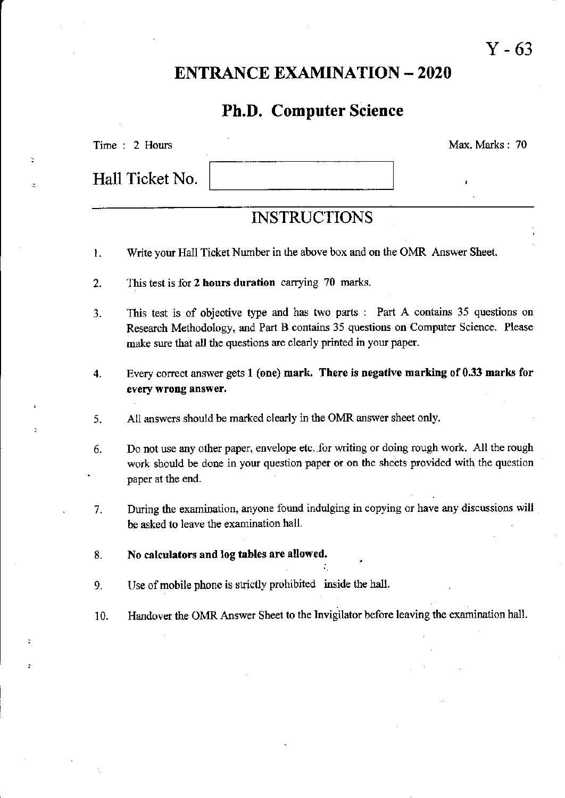## ENTRANCE EXAMINATION \_ 2O2O

#### Ph.D. Computer Science

Time : 2 Hours

 $\geq$ 

 $\ddot{a}$ 

Hall Ticket No.

Max, Marks : <sup>70</sup>

# **INSTRUCTIONS**

- 1. Write your Hall Ticket Number in the above box and on the OMR Answer Sheet.
- This test is for 2 hours duration carrying 70 marks.  $\overline{2}$ .
- 3. This test is of objective type and has two parts : Part A contains  $35$  questions on Research Methodology, and Part B contains 35 questions on Computer Science. Please make sure that all the questions are clearly printed in your paper.
- Every correct answer gets  $1$  (one) mark. There is negative marking of 0.33 marks for every wrong answer. 4.
- 5. All answers should be marked clearly in the OMR answer sheet only.
- 6. Do not use any other paper, envelope etc..for writing or doing rough work. All the rough work should be done in your question paper or on the sheets provided with the question paper at the end.
- During the examination, anyone found indulging in copying or have any discussions will be asked to leave the examination hall. 7.
- No calculators and log tables are allowed. 8.
- Use of mobile phone is strictly prohibited inside the hall. 9.
- Handover the OMR Answer Sheet to the Invigilator before leaving the examination hall. 10.

Y-63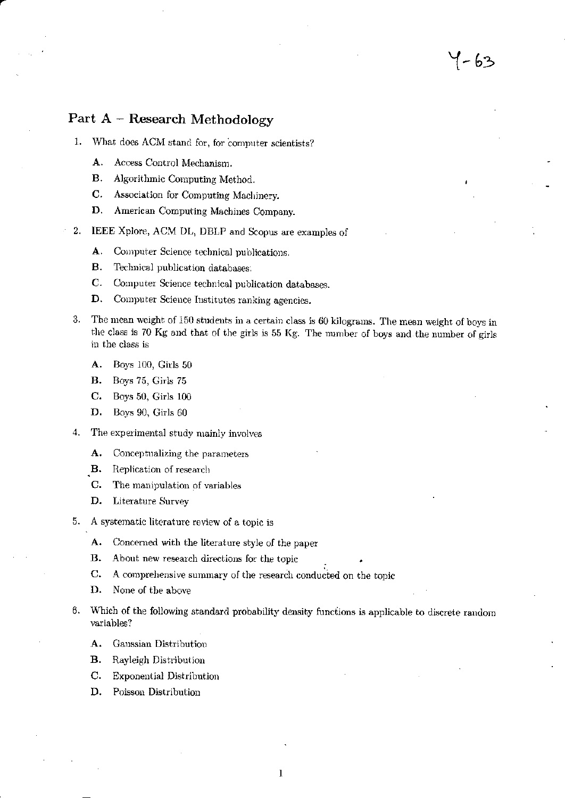#### Part A - Research Methodology

- $1.$ What does ACM stand for, for computer scientists?
	- A. Access Control Mechanism.
	- В. Algorithmic Computing Method.
	- Association for Computing Machinery. C.
	- D. American Computing Machines Company.
- $2.$ IEEE Xplore, ACM DL, DBLP and Scopus are examples of
	- Computer Science technical publications. A.
	- **B.** Technical publication databases.
	- $C.$ Computer Science technical publication databases.
	- Computer Science Institutes ranking agencies. D.
- The mean weight of 150 students in a certain class is 60 kilograms. The mean weight of boys in 3. the class is 70 Kg and that of the girls is 55 Kg. The number of boys and the number of girls in the class is

7-63

- A. Boys 100, Girls 50
- **B.** Boys 75, Girls 75
- C. Boys 50, Girls 100
- D. Boys 90, Girls 60
- 4. The experimental study mainly involves
	- Conceptualizing the parameters A.
	- **B.** Replication of research
	- $\mathbf{C}$ . The manipulation of variables
	- D. **Literature Survey**
- A systematic literature review of a topic is 5.
	- A. Concerned with the literature style of the paper
	- В. About new research directions for the topic
	- C. A comprehensive summary of the research conducted on the topic
	- D. None of the above
- 6. Which of the following standard probability density functions is applicable to discrete random variables?
	- A. Gaussian Distribution
	- **B.** Rayleigh Distribution
	- C. **Exponential Distribution**
	- D. Poisson Distribution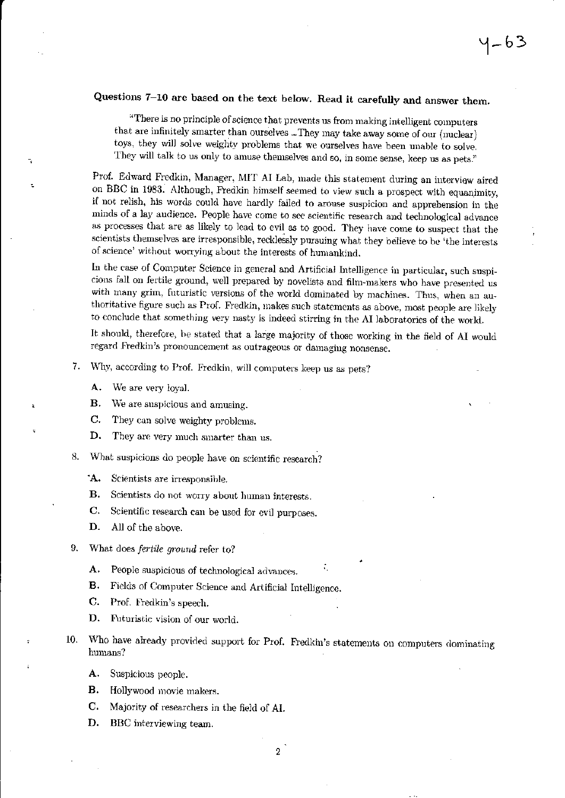### Questions 7-10 are based on the text below. Read it carefully and answer them.

"There is no principle of science that prevents us from making intelligent computers that are infinitely smarter than ourselves ... They may take away some of our (nuclear) toys, they will solve weighty problems that we ourselves have been unable to solve. They will talk to us only to amuse themselves and so, in some sense, keep us as pets."

Prof. Edward Fredkin, Manager, MIT AI Lab, made this statement during an interview aired on BBC in 1983. Although, Fredkin himself seemed to view such a prospect with equanimity, if not relish, his words could have hardly failed to arouse suspicion and apprehension in the minds of a lay audience. People have come to see scientific research and technological advance as processes that are as likely to lead to evil as to good. They have come to suspect that the scientists themselves are irresponsible, recklessly pursuing what they believe to be 'the interests of science' without worrying about the interests of humankind.

In the case of Computer Science in general and Artificial Intelligence in particular, such suspicions fall on fertile ground, well prepared by novelists and film-makers who have presented us with many grim, futuristic versions of the world dominated by machines. Thus, when an authoritative figure such as Prof. Fredkin, makes such statements as above, most people are likely to conclude that something very nasty is indeed stirring in the AI laboratories of the world.

It should, therefore, be stated that a large majority of those working in the field of AI would regard Fredkin's pronouncement as outrageous or damaging nonsense.

- 7. Why, according to Prof. Fredkin, will computers keep us as pets?
	- We are very loyal. Α.
	- В. We are suspicious and amusing.
	- $C_{\star}$ They can solve weighty problems.
	- D. They are very much smarter than us.
- 8. What suspicions do people have on scientific research?
	- **A.** Scientists are irresponsible.
	- **B.** Scientists do not worry about human interests.
	- $\mathbf{C}$ . Scientific research can be used for evil purposes.
	- D. All of the above.
- 9. What does fertile ground refer to?
	- А. People suspicious of technological advances.
	- Fields of Computer Science and Artificial Intelligence. в.
	- $\mathbf{C}$ . Prof. Fredkin's speech.
	- Futuristic vision of our world. D.
- Who have already provided support for Prof. Fredkin's statements on computers dominating 10. humans?
	- A. Suspicious people.
	- Hollywood movie makers. **B.**
	- C. Majority of researchers in the field of AI.
	- D. BBC interviewing team.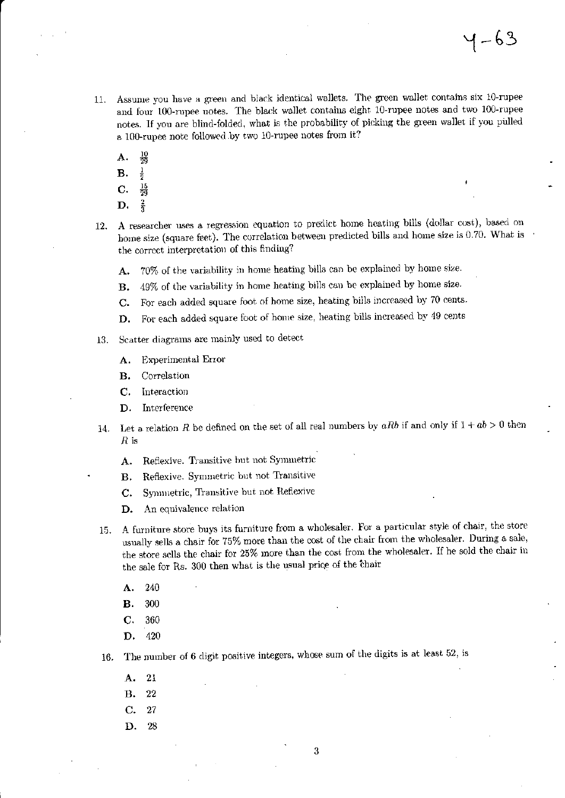- Assume you have a green and black identical wallets. The green wallet contains six 10-rupee  $11.$ and four 100-rupee notes. The black wallet contains eight 10-rupee notes and two 100-rupee notes. If you are blind-folded, what is the probability of picking the green wallet if you pulled a 100-rupee note followed by two 10-rupee notes from it?
	- $\frac{10}{29}$ А.
	- **B.**
	- $\frac{15}{29}$ C.
	- $\frac{2}{3}$ D.
- A researcher uses a regression equation to predict home heating bills (dollar cost), based on 12. home size (square feet). The correlation between predicted bills and home size is 0.70. What is the correct interpretation of this finding?
	- 70% of the variability in home heating bills can be explained by home size. А.
	- 49% of the variability in home heating bills can be explained by home size. **B.**
	- For each added square foot of home size, heating bills increased by 70 cents. C.
	- For each added square foot of home size, heating bills increased by 49 cents D.
- Scatter diagrams are mainly used to detect 13.
	- Experimental Error А.
	- Correlation **B.**
	- Interaction C.
	- Interference D.
- Let a relation R be defined on the set of all real numbers by aRb if and only if  $1 + ab > 0$  then  $14.$  $R$  is
	- Reflexive. Transitive but not Symmetric A.
	- Reflexive. Symmetric but not Transitive В.
	- Symmetric, Transitive but not Reflexive C.
	- D. An equivalence relation
- A furniture store buys its furniture from a wholesaler. For a particular style of chair, the store 15. usually sells a chair for 75% more than the cost of the chair from the wholesaler. During a sale, the store sells the chair for 25% more than the cost from the wholesaler. If he sold the chair in the sale for Rs. 300 then what is the usual price of the chair
	- 240 A.
	- 300 В.
	- C. 360
	- 420 D.
- The number of 6 digit positive integers, whose sum of the digits is at least 52, is 16.
	- -21 А.
	- 22 **B.**
	- C. 27
	- 28 D.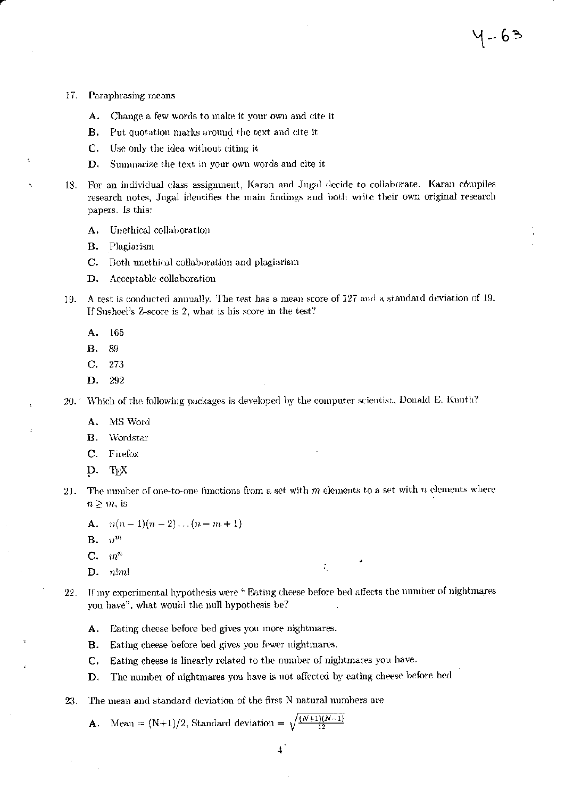- 17. Paraphrasing means
	- Change a few words to make it your own and cite it А.
	- Put quotation marks around the text and cite it в.
	- C. Use only the idea without citing it
	- D. Summarize the text in your own words and cite it
- For an individual class assignment, Karan and Jugal decide to collaborate. Karan compiles 18. research notes, Jugal identifies the main findings and both write their own original research papers. Is this:
	- Unethical collaboration A.
	- **B.** Plagiarism
	- Both unethical collaboration and plagiarism C.
	- D. Acceptable collaboration
- 19. A test is conducted annually. The test has a mean score of 127 and a standard deviation of 19. If Susheel's Z-score is 2, what is his score in the test?
	- Α. 165
	- 89 В.
	- С. 273
	- D. 292

20. Which of the following packages is developed by the computer scientist, Donald E. Kuuth?

- MS Word A.
- Wordstar  $\mathbf{B}$ .
- $\mathbf{C}$ . Firefox
- D. TEX
- The number of one-to-one functions from a set with  $m$  elements to a set with  $n$  elements where  $21.$  $n \geq m$ , is
	- **A.**  $n(n-1)(n-2)...(n-m+1)$
	- $n^m$ **B.**
	- $\boldsymbol{m}^n$ C.
	- $n!m!$ D.
- If my experimental hypothesis were "Eating cheese before bed affects the number of nightmares  $22.$ you have", what would the null hypothesis be?

 $\mathcal{L}_{\mathcal{L}}$ 

- A. Eating cheese before bed gives you more nightmares.
- Eating cheese before bed gives you fewer nightmares. **B.**
- Eating cheese is linearly related to the number of nightmares you have. C.
- The number of nightmares you have is not affected by eating cheese before bed D.
- The mean and standard deviation of the first N natural numbers are 23.

Mean =  $(N+1)/2$ , Standard deviation =  $\sqrt{\frac{(N+1)(N-1)}{12}}$ A.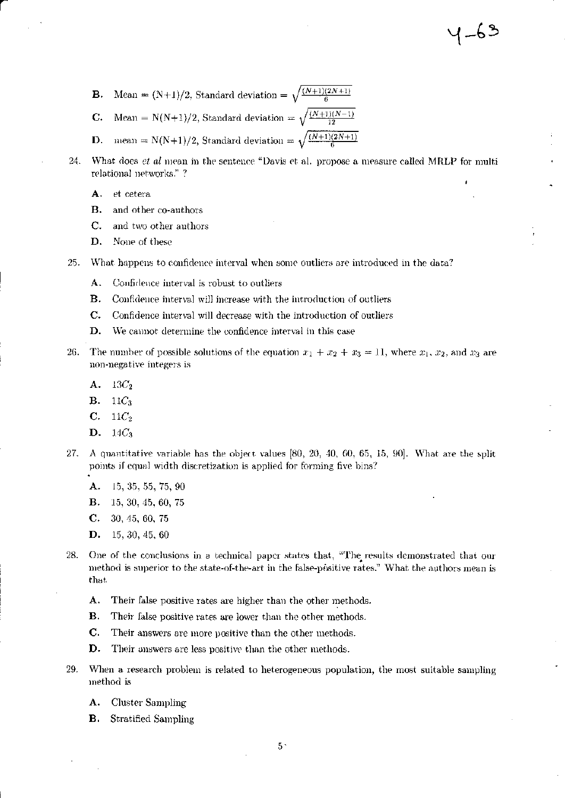$4 - 63$ 

- Mean =  $(N+1)/2$ , Standard deviation =  $\sqrt{\frac{(N+1)(2N+1)}{6}}$ В.
- Mean = N(N+1)/2, Standard deviation =  $\sqrt{\frac{(N+1)(N-1)}{12}}$ C.
- mean = N(N+1)/2, Standard deviation =  $\sqrt{\frac{(N+1)(2N+1)}{6}}$ D.
- What does et al mean in the sentence "Davis et al. propose a measure called MRLP for multi 24. relational networks."?
	- A. et cetera
	- **B.** and other co-authors
	- C. and two other authors
	- D. None of these
- 25. What happens to confidence interval when some outliers are introduced in the data?
	- Confidence interval is robust to outliers А.
	- Confidence interval will increase with the introduction of outliers В.
	- Confidence interval will decrease with the introduction of outliers  $\mathbf{C}$ .
	- D. We cannot determine the confidence interval in this case
- 26. The number of possible solutions of the equation  $x_1 + x_2 + x_3 = 11$ , where  $x_1, x_2$ , and  $x_3$  are non-negative integers is
	- A.  $13C_2$
	- **B.**  $11C_3$
	- $C.$  $11C_{2}$
	- D.  $14C_3$
- 27. A quantitative variable has the object values [80, 20, 40, 60, 65, 15, 90]. What are the split points if equal width discretization is applied for forming five bins?
	- А. 15, 35, 55, 75, 90
	- **B.** 15, 30, 45, 60, 75
	- $C.$ 30, 45, 60, 75
	- D.  $15, 30, 45, 60$
- 28. One of the conclusions in a technical paper states that, "The results demonstrated that our method is superior to the state-of-the-art in the false-positive rates." What the authors mean is that
	- A. Their false positive rates are higher than the other methods.
	- В. Their false positive rates are lower than the other methods.
	- C. Their answers are more positive than the other methods.
	- D. Their answers are less positive than the other methods.
- 29. When a research problem is related to heterogeneous population, the most suitable sampling method is
	- **Cluster Sampling** A.
	- В. Stratified Sampling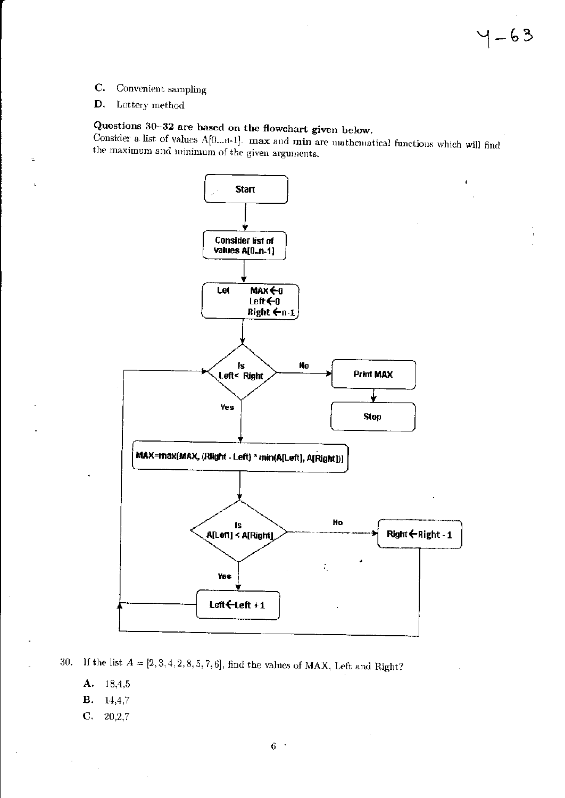- $C.$ Convenient sampling
- D. Lottery method

## Questions 30-32 are based on the flowchart given below.

Consider a list of values A[0...n-1]. max and min are mathematical functions which will find the maximum and minimum of the given arguments.



If the list  $A = [2, 3, 4, 2, 8, 5, 7, 6]$ , find the values of MAX, Left and Right? 30.

- A.  $18,4,5$
- **B.** 14,4,7
- $\mathbf{C}$ .  $20,2,7$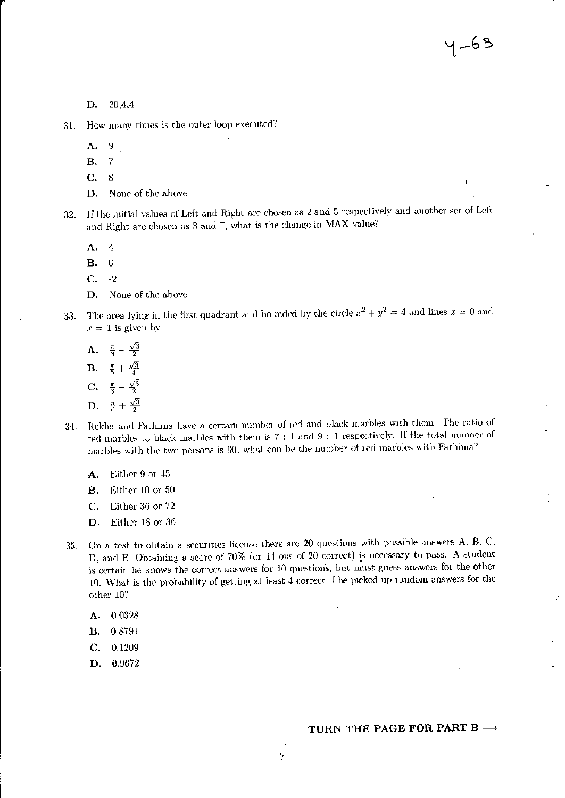$4 - 63$ 

 $20,4,4$ D.

How many times is the outer loop executed? 31.

> 9 А.

- $\overline{7}$ **B.**
- 8 C.
- None of the above D.

If the initial values of Left and Right are chosen as 2 and 5 respectively and another set of Left 32. and Right are chosen as 3 and 7, what is the change in MAX value?

А.  $\cdot$ 

 $6\phantom{1}6$ В.

 $-2$ С.

None of the above D.

The area lying in the first quadrant and bounded by the circle  $x^2 + y^2 = 4$  and lines  $x = 0$  and 33.  $x = 1$  is given by

- A.  $\frac{\pi}{3} + \frac{\sqrt{3}}{2}$
- **B.**  $\frac{\pi}{6} + \frac{\sqrt{3}}{4}$
- **C.**  $\frac{\pi}{3} \frac{\sqrt{3}}{2}$
- $\frac{\pi}{6} + \frac{\sqrt{3}}{2}$ D.
- Rekha and Fathima have a certain number of red and black marbles with them. The ratio of 34. red marbles to black marbles with them is  $7:1$  and  $9:1$  respectively. If the total number of marbles with the two persons is 90, what can be the number of red marbles with Fathima?
	- Either 9 or 45 А.
	- **B.** Either 10 or 50
	- C. Either 36 or 72
	- Either 18 or 36 D.
- On a test to obtain a securities license there are 20 questions with possible answers A, B, C, 35. D, and E. Obtaining a score of 70% (or 14 out of 20 correct) is necessary to pass. A student is certain he knows the correct answers for 10 questions, but must guess answers for the other 10. What is the probability of getting at least 4 correct if he picked up random answers for the other 10?
	- A. 0.0328
	- **B.** 0.8791
	- $C -$ 0.1209
	- 0.9672 D.

#### TURN THE PAGE FOR PART B  $\rightarrow$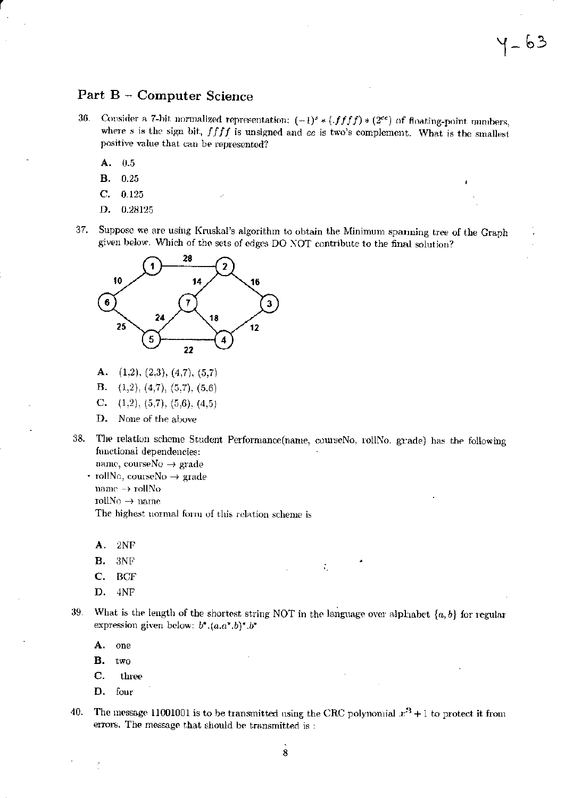### Part B - Computer Science

36. Consider a 7-bit normalized representation:  $(-1)^s * (ffff) * (2^{ee})$  of floating-point numbers, where  $s$  is the sign bit,  $ffff$  is unsigned and  $ee$  is two's complement. What is the smallest positive value that can be represented?

1\_ 63

- А.  $0.5$
- **B.**  $0.25$
- $\mathbf C$ . 0.125
- D. 0.28125
- 37. Suppose we are using Kruskal's algorithm to obtain the Minimum spanning tree of the Graph given below. Which of the sets of edges DO NOT contribute to the final solution?



- А.  $(1,2), (2,3), (4,7), (5,7)$
- В.  $(1,2), (4,7), (5,7), (5,6)$
- C.  $(1,2), (5,7), (5,6), (4,5)$
- None of the above D.
- 38. The relation scheme Student Performance(name, courseNo, rollNo, grade) has the following functional dependencies:
	- name, courseNo  $\rightarrow$  grade • rollNo, courseNo  $\rightarrow$  grade name  $\rightarrow$ rollNo
		- rollNo  $\rightarrow$  name

The highest normal form of this relation scheme is

- А.  $2NF$
- **B.**  $3NF$
- $\mathbf{C}$ . BCF
- D. 4NF
- 39. What is the length of the shortest string NOT in the language over alphabet  $\{a, b\}$  for regular expression given below:  $b^*.(a.a^*.b)^*.b^*$

Æ,

- A. one
- **B.** two
- C. three
- D. four
- 40. The message 11001001 is to be transmitted using the CRC polynomial  $x^3 + 1$  to protect it from errors. The message that should be transmitted is: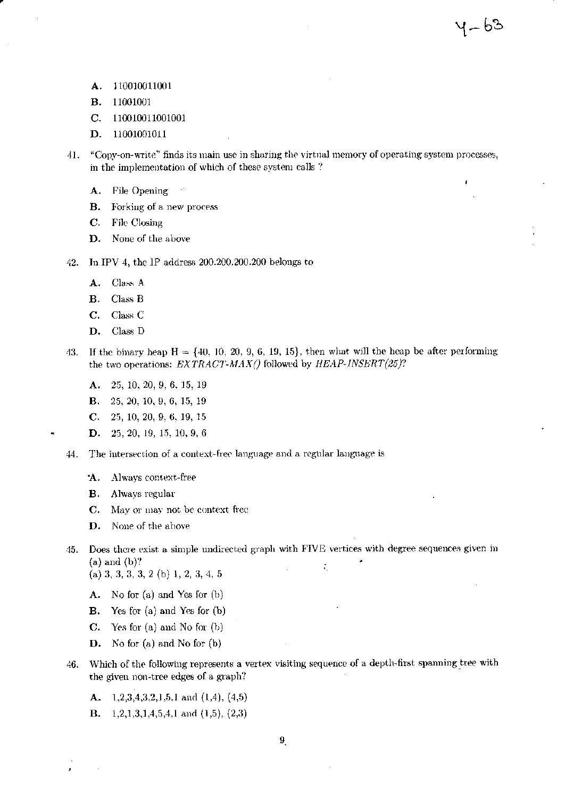- 110010011001 А.
- **B.** 11001001
- C. 110010011001001
- D. 11001001011
- "Copy-on-write" finds its main use in sharing the virtual memory of operating system processes,  $41.$ in the implementation of which of these system calls?

१– bे

- A. File Opening
- **B.** Forking of a new process
- $\mathbf{C}$ . File Closing
- D. None of the above
- In IPV 4, the IP address 200.200.200.200 belongs to 42.
	- Class A A.
	- **B.** Class B
	- $C_{\star}$ Class<sub>C</sub>
	- D. Class D
- If the binary heap  $H = \{40, 10, 20, 9, 6, 19, 15\}$ , then what will the heap be after performing 43. the two operations:  $EXTRACT-MAX()$  followed by  $HEAP-INSERT(25)?$ 
	- A. 25, 10, 20, 9, 6, 15, 19
	- **B.** 25, 20, 10, 9, 6, 15, 19
	- C. 25, 10, 20, 9, 6, 19, 15
	- **D.** 25, 20, 19, 15, 10, 9, 6
- The intersection of a context-free language and a regular language is 44.
	- Always context-free Ά.
	- В. Always regular
	- $C_{\star}$ May or may not be context free
	- D. None of the above
- 45. Does there exist a simple undirected graph with FIVE vertices with degree sequences given in  $(a)$  and  $(b)$ ? ÷.

(a) 3, 3, 3, 3, 2 (b) 1, 2, 3, 4, 5

- A. No for (a) and Yes for (b)
- Yes for (a) and Yes for (b) **B.**
- $\mathbf{C}$ . Yes for  $(a)$  and No for  $(b)$
- No for (a) and No for (b) D.
- Which of the following represents a vertex visiting sequence of a depth-first spanning tree with 46. the given non-tree edges of a graph?
	- A.  $1,2,3,4,3,2,1,5,1$  and  $(1,4)$ ,  $(4,5)$
	- $1,2,1,3,1,4,5,4,1$  and  $(1,5)$ ,  $(2,3)$ **B.**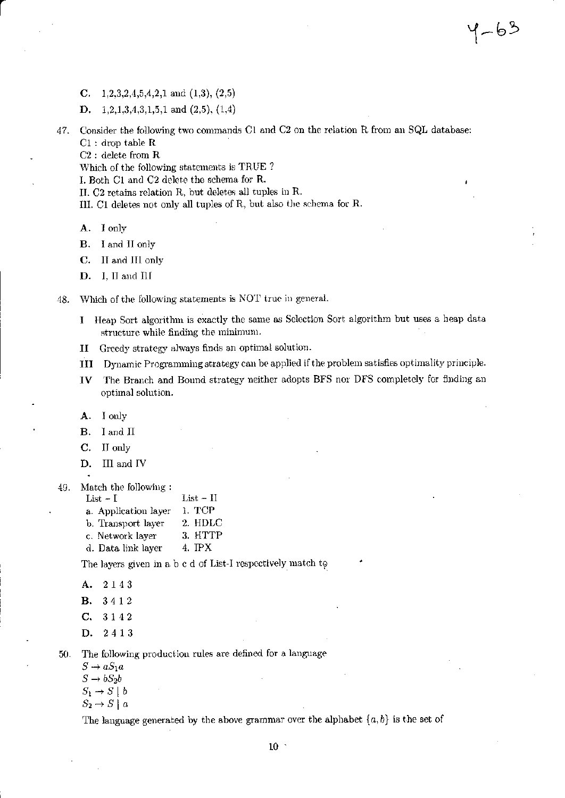- C.  $1,2,3,2,4,5,4,2,1$  and  $(1,3), (2,5)$
- D.  $1,2,1,3,4,3,1,5,1$  and  $(2,5)$ ,  $(1,4)$
- Consider the following two commands C1 and C2 on the relation R from an SQL database: 47.  $C1:$  drop table  $R$

4-63

 $C2$ : delete from  $R$ 

Which of the following statements is TRUE?

I. Both C1 and C2 delete the schema for R.

II. C2 retains relation R, but deletes all tuples in R.

- III. C1 deletes not only all tuples of R, but also the schema for R.
- I only A.

I and II only В.

- C. II and III only
- D. I, II and III
- Which of the following statements is NOT true in general. 48.
	- I Heap Sort algorithm is exactly the same as Selection Sort algorithm but uses a heap data structure while finding the minimum.
	- Greedy strategy always finds an optimal solution. и
	- III Dynamic Programming strategy can be applied if the problem satisfies optimality principle.
	- The Branch and Bound strategy neither adopts BFS nor DFS completely for finding an  $IV$ optimal solution.

I only A.

**B.** I and II

- $C_{\cdot}$ II only
- D. III and IV
- 49. Match the following:
	- List  $-1$ List  $-$  II 1. TCP a. Application layer b. Transport layer 2. HDLC
	- 3. HTTP c. Network layer
	- 4. IPX
	- d. Data link layer

The layers given in a b c d of List-I respectively match to

A. 2143

- **B.** 3412
- C. 3142
- D. 2413

The following production rules are defined for a language 50.

- $S \rightarrow aS_1a$
- $S \rightarrow bS_2b$
- $S_1 \rightarrow S \mid b$
- $S_2 \rightarrow S \mid a$

The language generated by the above grammar over the alphabet  $\{a, b\}$  is the set of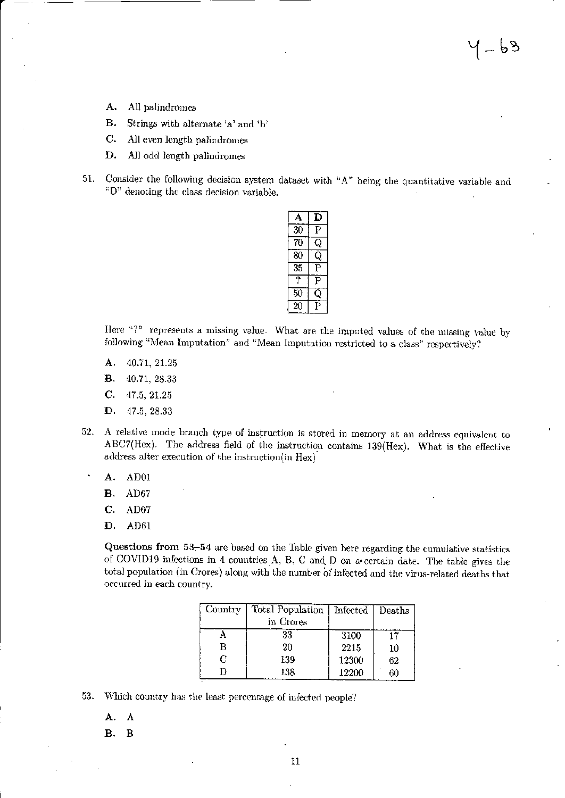- А. All palindromes
- **B.** Strings with alternate 'a' and 'b'
- $\mathbf{C}$ . All even length palindromes
- D. All odd length palindromes
- Consider the following decision system dataset with "A" being the quantitative variable and 51. "D" denoting the class decision variable.

|            | D |
|------------|---|
| $3\bar{0}$ | Р |
| 70         |   |
| 80         |   |
| 35         |   |
| ?          | Ρ |
| 50         |   |
| 20         |   |

Here "?" represents a missing value. What are the imputed values of the missing value by following "Mean Imputation" and "Mean Imputation restricted to a class" respectively?

- A. 40.71, 21.25
- **B.** 40.71, 28.33
- $\mathbf{C}$ . 47.5, 21.25
- D. 47.5, 28.33
- A relative mode branch type of instruction is stored in memory at an address equivalent to  $52.$ ABC7(Hex). The address field of the instruction contains 139(Hex). What is the effective address after execution of the instruction(in Hex)
	- A. AD01

٠

- AD67 В.
- C. AD07
- D. AD61

Questions from 53-54 are based on the Table given here regarding the cumulative statistics of COVID19 infections in 4 countries A, B, C and D on a certain date. The table gives the total population (in Crores) along with the number of infected and the virus-related deaths that occurred in each country.

| Country | Total Population | Infected   Deaths |    |
|---------|------------------|-------------------|----|
|         | in Crores        |                   |    |
|         | 33               | 3100              |    |
| B       | $20\,$           | 2215              | 10 |
| C       | 139              | 12300             | 62 |
|         | 138              | 12200             | 60 |

53. Which country has the least percentage of infected people?

- A. A
- **B.**  $\mathbf B$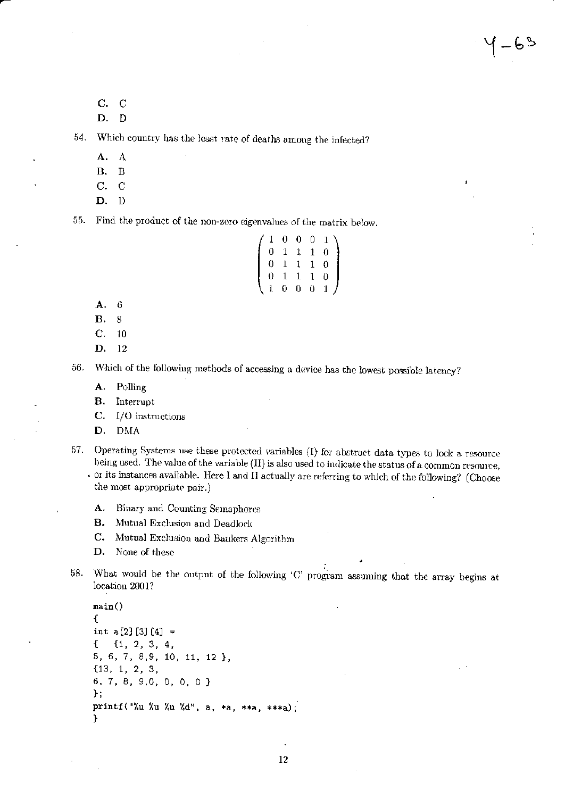C. C

D. D

Which country has the least rate of deaths among the infected? 54.

- A. A
- **B.**  $\overline{B}$
- C.  $\mathbf C$
- D. D

55. Find the product of the non-zero eigenvalues of the matrix below.

|  | $\begin{pmatrix} 1 & 0 & 0 & 0 & 1 \ 0 & 1 & 1 & 1 & 0 \ 0 & 1 & 1 & 1 & 0 \ 0 & 1 & 1 & 1 & 0 \ 1 & 0 & 0 & 0 & 1 \end{pmatrix}$ |  |  |
|--|-----------------------------------------------------------------------------------------------------------------------------------|--|--|
|  |                                                                                                                                   |  |  |
|  |                                                                                                                                   |  |  |
|  |                                                                                                                                   |  |  |

 $\mathbf{A}$  $\sim$  $\overline{a}$   $-63$ 

Α.  $\boldsymbol{6}$ 

**B.**  $8\,$ 

 $C.$  $10$ 

D.  $12\phantom{.0}$ 

Which of the following methods of accessing a device has the lowest possible latency? 56.

A. Polling

В. Interrupt

 $\mathbf{C}$ . I/O instructions

D. DMA

Operating Systems use these protected variables (I) for abstract data types to lock a resource 57. being used. The value of the variable (II) is also used to indicate the status of a common resource,

or its instances available. Here I and II actually are referring to which of the following? (Choose the most appropriate pair.)

Binary and Counting Semaphores А.

Mutual Exclusion and Deadlock **B.** 

 $C_{\bullet}$ Mutual Exclusion and Bankers Algorithm

D. None of these

What would be the output of the following 'C' program assuming that the array begins at 58. location 2001?

```
main()\mathcal{L}int a[2] [3] [4] =€
    {1, 2, 3, 4}5, 6, 7, 8, 9, 10, 11, 12 },
{13, 1, 2, 3,6, 7, 8, 9,0, 0, 0, 0 }
};
printf("%u %u %u %d", a, *a, **a, ***a);
}
```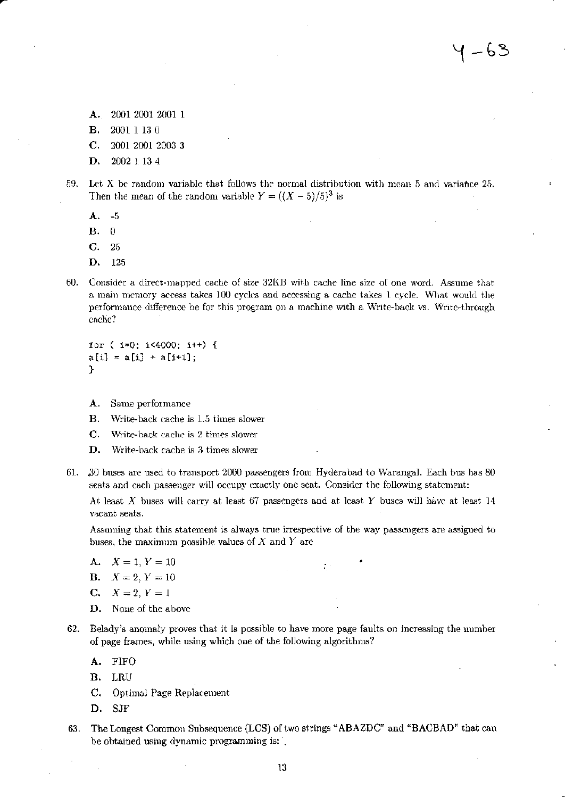- A. 2001 2001 2001 1
- **B.** 2001 1 13 0
- $\mathbf{C}$ . 2001 2001 2003 3
- D. 2002 1 13 4
- Let X be random variable that follows the normal distribution with mean 5 and variance 25. 59. Then the mean of the random variable  $Y = ((X - 5)/5)^3$  is
	- A.  $-5$
	- **B.**  $\theta$
	- C. 25
	- D. 125
- 60. Consider a direct-mapped cache of size 32KB with cache line size of one word. Assume that a main memory access takes 100 cycles and accessing a cache takes 1 cycle. What would the performance difference be for this program on a machine with a Write-back vs. Write-through cache?

for  $(i=0; i<4000; i++)$  {  $a[i] = a[i] + a[i+1];$ }

- A. Same performance
- Write-back cache is 1.5 times slower В.
- $\mathbf{C}$ . Write-back cache is 2 times slower
- D. Write-back cache is 3 times slower
- 61. 30 buses are used to transport 2000 passengers from Hyderabad to Warangal. Each bus has 80 seats and each passenger will occupy exactly one seat. Consider the following statement:

At least X buses will carry at least 67 passengers and at least Y buses will have at least 14 vacant seats.

Assuming that this statement is always true irrespective of the way passengers are assigned to buses, the maximum possible values of  $X$  and  $Y$  are

- **A.**  $X = 1, Y = 10$
- **B.**  $X = 2, Y = 10$
- $C_{\star}$  $X = 2, Y = 1$
- D. None of the above
- 62. Belady's anomaly proves that it is possible to have more page faults on increasing the number of page frames, while using which one of the following algorithms?
	- A.  $FIFO$
	- **B.**  $_{\rm LRU}$
	- Optimal Page Replacement  $C_{\star}$
	- D. **SJF**
- 63. The Longest Common Subsequence (LCS) of two strings "ABAZDC" and "BACBAD" that can be obtained using dynamic programming is: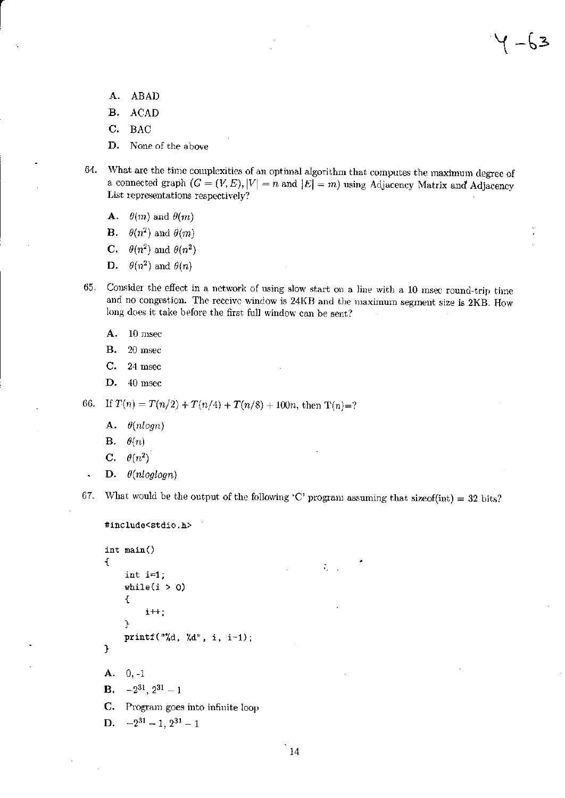( -63

- А. ABAD
- **B. ACAD**
- C. **BAC**
- D. None of the above
- What are the time complexities of an optimal algorithm that computes the maximum degree of 64. a connected graph  $(G = (V, E), |V| = n$  and  $|E| = m$ ) using Adjacency Matrix and Adjacency List representations respectively?
	- $\theta(m)$  and  $\theta(m)$ A.

**B.**  $\theta(n^2)$  and  $\theta(m)$ 

- $\theta(n^2)$  and  $\theta(n^2)$  $\mathbf{C}$ .
- $\theta(n^2)$  and  $\theta(n)$ D.
- Consider the effect in a network of using slow start on a line with a 10 msec round-trip time 65. and no congestion. The receive window is 24KB and the maximum segment size is 2KB. How long does it take before the first full window can be sent?
	- A. 10 msec
	- **B.** 20 msec
	- C. 24 msec
	- D. 40 msec

If  $T(n) = T(n/2) + T(n/4) + T(n/8) + 100n$ , then  $T(n)=$ ? 66.

- A.  $\theta(nlogn)$
- **B.**  $\theta(n)$
- C.  $\theta(n^2)$

l,

D.  $\theta(nloglogn)$ 

What would be the output of the following 'C' program assuming that size of  $(int) = 32 \text{ bits?}$ 67.

 $\mathcal{L}_{\rm{max}}$ 

```
#include<stdio.h>
```

```
int main()
\mathbf{f}int i=1;
     while(i > 0)Ł
          i++;
     ŀ
     printf("%d, %d", i, i-1);
\mathbf{r}A. 0. -1-2^{31}, 2^{31} - 1B.
C.
    Program goes into infinite loop
    -2^{31} - 1, 2^{31} - 1D.
```